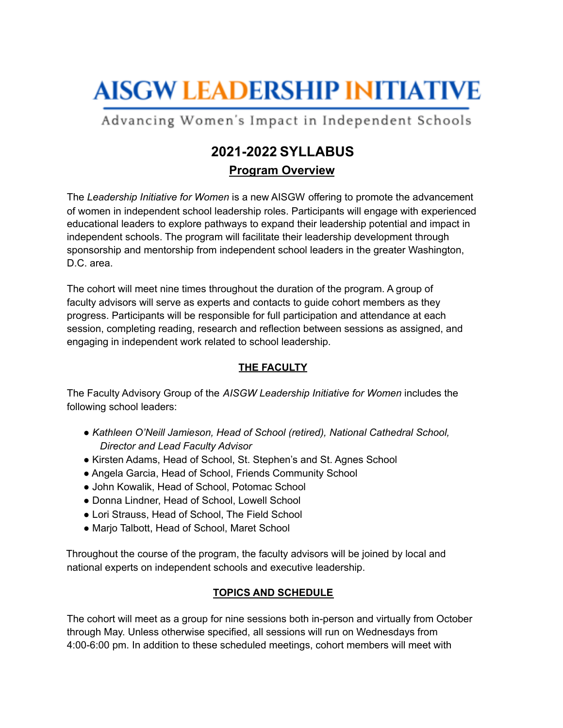# **AISGW LEADERSHIP INITIATIVE**

Advancing Women's Impact in Independent Schools

### **2021-2022 SYLLABUS Program Overview**

The *Leadership Initiative for Women* is a new AISGW offering to promote the advancement of women in independent school leadership roles. Participants will engage with experienced educational leaders to explore pathways to expand their leadership potential and impact in independent schools. The program will facilitate their leadership development through sponsorship and mentorship from independent school leaders in the greater Washington, D.C. area.

The cohort will meet nine times throughout the duration of the program. A group of faculty advisors will serve as experts and contacts to guide cohort members as they progress. Participants will be responsible for full participation and attendance at each session, completing reading, research and reflection between sessions as assigned, and engaging in independent work related to school leadership.

#### **THE FACULTY**

The Faculty Advisory Group of the *AISGW Leadership Initiative for Women* includes the following school leaders:

- *● Kathleen O'Neill Jamieson, Head of School (retired), National Cathedral School, Director and Lead Faculty Advisor*
- Kirsten Adams, Head of School, St. Stephen's and St. Agnes School
- Angela Garcia, Head of School, Friends Community School
- John Kowalik, Head of School, Potomac School
- Donna Lindner, Head of School, Lowell School
- Lori Strauss, Head of School, The Field School
- Marjo Talbott, Head of School, Maret School

Throughout the course of the program, the faculty advisors will be joined by local and national experts on independent schools and executive leadership.

#### **TOPICS AND SCHEDULE**

The cohort will meet as a group for nine sessions both in-person and virtually from October through May. Unless otherwise specified, all sessions will run on Wednesdays from 4:00-6:00 pm. In addition to these scheduled meetings, cohort members will meet with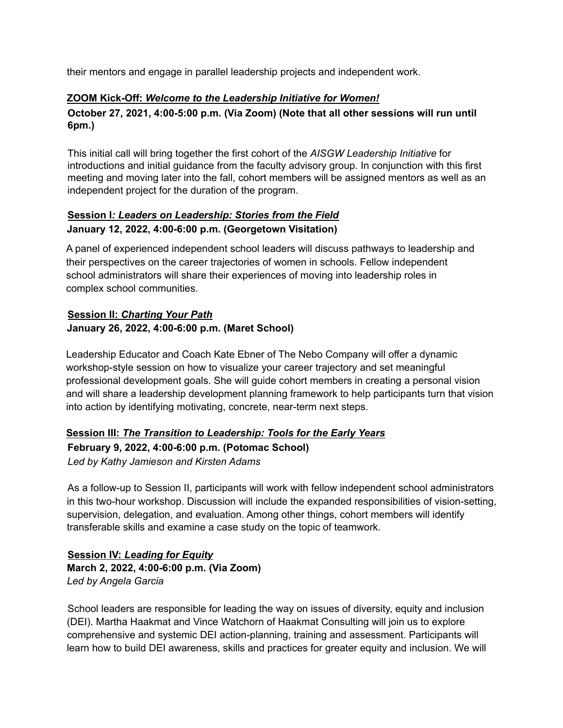their mentors and engage in parallel leadership projects and independent work.

#### **ZOOM Kick-Off:** *Welcome to the Leadership Initiative for Women!*

#### **October 27, 2021, 4:00-5:00 p.m. (Via Zoom) (Note that all other sessions will run until 6pm.)**

This initial call will bring together the first cohort of the *AISGW Leadership Initiative* for introductions and initial guidance from the faculty advisory group. In conjunction with this first meeting and moving later into the fall, cohort members will be assigned mentors as well as an independent project for the duration of the program.

#### **Session I***: Leaders on Leadership: Stories from the Field* **January 12, 2022, 4:00-6:00 p.m. (Georgetown Visitation)**

A panel of experienced independent school leaders will discuss pathways to leadership and their perspectives on the career trajectories of women in schools. Fellow independent school administrators will share their experiences of moving into leadership roles in complex school communities.

#### **Session II:** *Charting Your Path* **January 26, 2022, 4:00-6:00 p.m. (Maret School)**

Leadership Educator and Coach Kate Ebner of The Nebo Company will offer a dynamic workshop-style session on how to visualize your career trajectory and set meaningful professional development goals. She will guide cohort members in creating a personal vision and will share a leadership development planning framework to help participants turn that vision into action by identifying motivating, concrete, near-term next steps.

#### **Session III:** *The Transition to Leadership: Tools for the Early Years* **February 9, 2022, 4:00-6:00 p.m. (Potomac School)** *Led by Kathy Jamieson and Kirsten Adams*

As a follow-up to Session II, participants will work with fellow independent school administrators in this two-hour workshop. Discussion will include the expanded responsibilities of vision-setting, supervision, delegation, and evaluation. Among other things, cohort members will identify transferable skills and examine a case study on the topic of teamwork.

#### **Session IV:** *Leading for Equity* **March 2, 2022, 4:00-6:00 p.m. (Via Zoom)** *Led by Angela Garcia*

School leaders are responsible for leading the way on issues of diversity, equity and inclusion (DEI). Martha Haakmat and Vince Watchorn of Haakmat Consulting will join us to explore comprehensive and systemic DEI action-planning, training and assessment. Participants will learn how to build DEI awareness, skills and practices for greater equity and inclusion. We will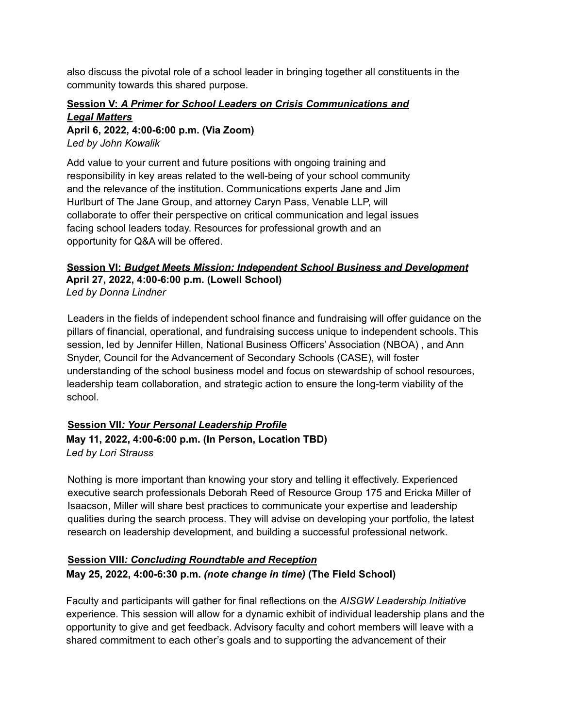also discuss the pivotal role of a school leader in bringing together all constituents in the community towards this shared purpose.

#### **Session V:** *A Primer for School Leaders on Crisis Communications and Legal Matters*

**April 6, 2022, 4:00-6:00 p.m. (Via Zoom)**

*Led by John Kowalik*

Add value to your current and future positions with ongoing training and responsibility in key areas related to the well-being of your school community and the relevance of the institution. Communications experts Jane and Jim Hurlburt of The Jane Group, and attorney Caryn Pass, Venable LLP, will collaborate to offer their perspective on critical communication and legal issues facing school leaders today. Resources for professional growth and an opportunity for Q&A will be offered.

#### **Session VI:** *Budget Meets Mission: Independent School Business and Development* **April 27, 2022, 4:00-6:00 p.m. (Lowell School)** *Led by Donna Lindner*

Leaders in the fields of independent school finance and fundraising will offer guidance on the pillars of financial, operational, and fundraising success unique to independent schools. This session, led by Jennifer Hillen, National Business Officers' Association (NBOA) , and Ann Snyder, Council for the Advancement of Secondary Schools (CASE), will foster understanding of the school business model and focus on stewardship of school resources, leadership team collaboration, and strategic action to ensure the long-term viability of the school.

## **Session VII***: Your Personal Leadership Profile*

#### **May 11, 2022, 4:00-6:00 p.m. (In Person, Location TBD)** *Led by Lori Strauss*

Nothing is more important than knowing your story and telling it effectively. Experienced executive search professionals Deborah Reed of Resource Group 175 and Ericka Miller of Isaacson, Miller will share best practices to communicate your expertise and leadership qualities during the search process. They will advise on developing your portfolio, the latest research on leadership development, and building a successful professional network.

#### **Session VIII***: Concluding Roundtable and Reception* **May 25, 2022, 4:00-6:30 p.m.** *(note change in time)* **(The Field School)**

Faculty and participants will gather for final reflections on the *AISGW Leadership Initiative* experience. This session will allow for a dynamic exhibit of individual leadership plans and the opportunity to give and get feedback. Advisory faculty and cohort members will leave with a shared commitment to each other's goals and to supporting the advancement of their